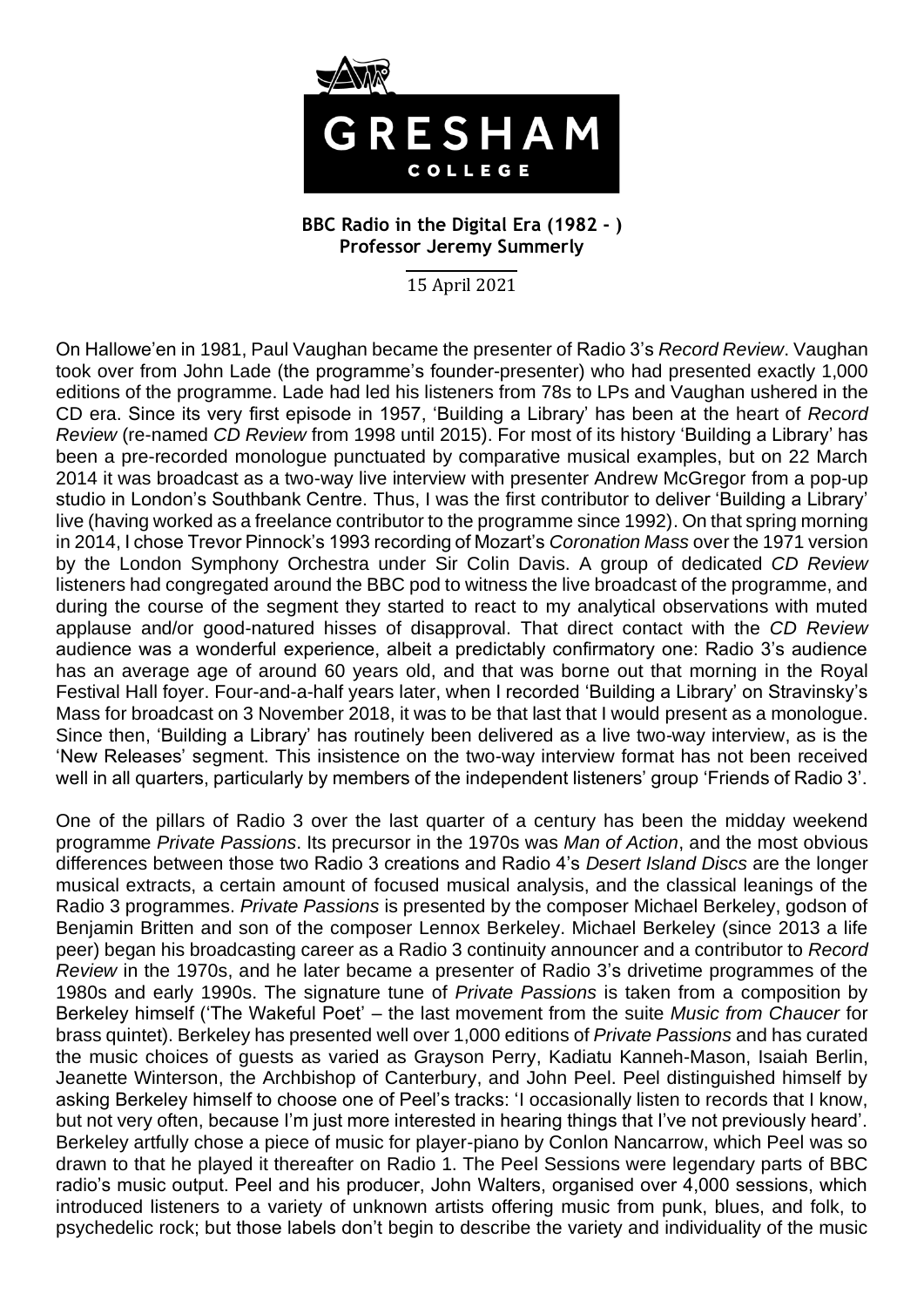

## **BBC Radio in the Digital Era (1982 - ) Professor Jeremy Summerly**

15 April 2021

On Hallowe'en in 1981, Paul Vaughan became the presenter of Radio 3's *Record Review*. Vaughan took over from John Lade (the programme's founder-presenter) who had presented exactly 1,000 editions of the programme. Lade had led his listeners from 78s to LPs and Vaughan ushered in the CD era. Since its very first episode in 1957, 'Building a Library' has been at the heart of *Record Review* (re-named *CD Review* from 1998 until 2015). For most of its history 'Building a Library' has been a pre-recorded monologue punctuated by comparative musical examples, but on 22 March 2014 it was broadcast as a two-way live interview with presenter Andrew McGregor from a pop-up studio in London's Southbank Centre. Thus, I was the first contributor to deliver 'Building a Library' live (having worked as a freelance contributor to the programme since 1992). On that spring morning in 2014, I chose Trevor Pinnock's 1993 recording of Mozart's *Coronation Mass* over the 1971 version by the London Symphony Orchestra under Sir Colin Davis. A group of dedicated *CD Review* listeners had congregated around the BBC pod to witness the live broadcast of the programme, and during the course of the segment they started to react to my analytical observations with muted applause and/or good-natured hisses of disapproval. That direct contact with the *CD Review* audience was a wonderful experience, albeit a predictably confirmatory one: Radio 3's audience has an average age of around 60 years old, and that was borne out that morning in the Royal Festival Hall foyer. Four-and-a-half years later, when I recorded 'Building a Library' on Stravinsky's Mass for broadcast on 3 November 2018, it was to be that last that I would present as a monologue. Since then, 'Building a Library' has routinely been delivered as a live two-way interview, as is the 'New Releases' segment. This insistence on the two-way interview format has not been received well in all quarters, particularly by members of the independent listeners' group 'Friends of Radio 3'.

One of the pillars of Radio 3 over the last quarter of a century has been the midday weekend programme *Private Passions*. Its precursor in the 1970s was *Man of Action*, and the most obvious differences between those two Radio 3 creations and Radio 4's *Desert Island Discs* are the longer musical extracts, a certain amount of focused musical analysis, and the classical leanings of the Radio 3 programmes. *Private Passions* is presented by the composer Michael Berkeley, godson of Benjamin Britten and son of the composer Lennox Berkeley. Michael Berkeley (since 2013 a life peer) began his broadcasting career as a Radio 3 continuity announcer and a contributor to *Record Review* in the 1970s, and he later became a presenter of Radio 3's drivetime programmes of the 1980s and early 1990s. The signature tune of *Private Passions* is taken from a composition by Berkeley himself ('The Wakeful Poet' – the last movement from the suite *Music from Chaucer* for brass quintet). Berkeley has presented well over 1,000 editions of *Private Passions* and has curated the music choices of guests as varied as Grayson Perry, Kadiatu Kanneh-Mason, Isaiah Berlin, Jeanette Winterson, the Archbishop of Canterbury, and John Peel. Peel distinguished himself by asking Berkeley himself to choose one of Peel's tracks: 'I occasionally listen to records that I know, but not very often, because I'm just more interested in hearing things that I've not previously heard'. Berkeley artfully chose a piece of music for player-piano by Conlon Nancarrow, which Peel was so drawn to that he played it thereafter on Radio 1. The Peel Sessions were legendary parts of BBC radio's music output. Peel and his producer, John Walters, organised over 4,000 sessions, which introduced listeners to a variety of unknown artists offering music from punk, blues, and folk, to psychedelic rock; but those labels don't begin to describe the variety and individuality of the music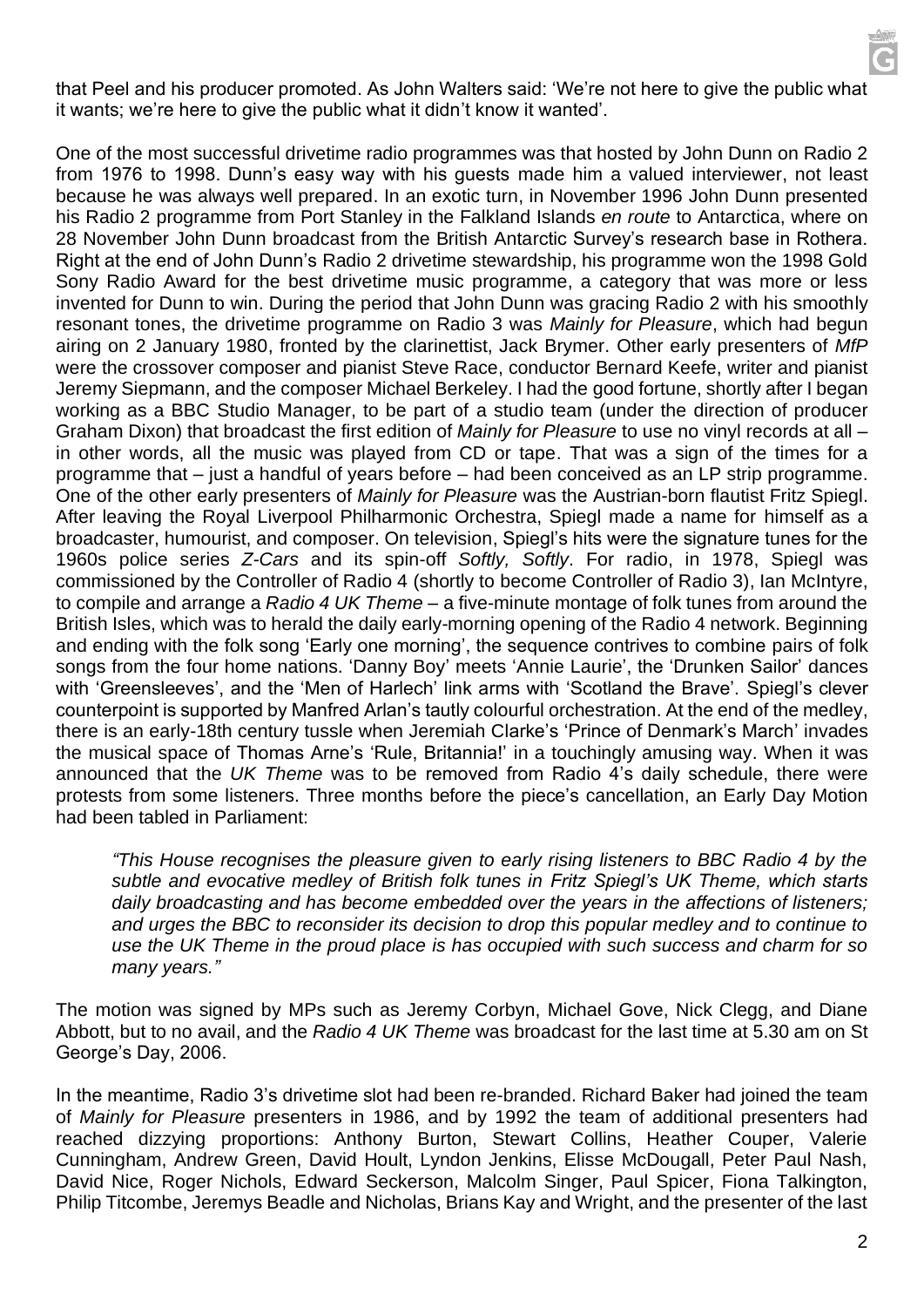that Peel and his producer promoted. As John Walters said: 'We're not here to give the public what it wants; we're here to give the public what it didn't know it wanted'.

One of the most successful drivetime radio programmes was that hosted by John Dunn on Radio 2 from 1976 to 1998. Dunn's easy way with his guests made him a valued interviewer, not least because he was always well prepared. In an exotic turn, in November 1996 John Dunn presented his Radio 2 programme from Port Stanley in the Falkland Islands *en route* to Antarctica, where on 28 November John Dunn broadcast from the British Antarctic Survey's research base in Rothera. Right at the end of John Dunn's Radio 2 drivetime stewardship, his programme won the 1998 Gold Sony Radio Award for the best drivetime music programme, a category that was more or less invented for Dunn to win. During the period that John Dunn was gracing Radio 2 with his smoothly resonant tones, the drivetime programme on Radio 3 was *Mainly for Pleasure*, which had begun airing on 2 January 1980, fronted by the clarinettist, Jack Brymer. Other early presenters of *MfP* were the crossover composer and pianist Steve Race, conductor Bernard Keefe, writer and pianist Jeremy Siepmann, and the composer Michael Berkeley. I had the good fortune, shortly after I began working as a BBC Studio Manager, to be part of a studio team (under the direction of producer Graham Dixon) that broadcast the first edition of *Mainly for Pleasure* to use no vinyl records at all – in other words, all the music was played from CD or tape. That was a sign of the times for a programme that – just a handful of years before – had been conceived as an LP strip programme. One of the other early presenters of *Mainly for Pleasure* was the Austrian-born flautist Fritz Spiegl. After leaving the Royal Liverpool Philharmonic Orchestra, Spiegl made a name for himself as a broadcaster, humourist, and composer. On television, Spiegl's hits were the signature tunes for the 1960s police series *Z-Cars* and its spin-off *Softly, Softly*. For radio, in 1978, Spiegl was commissioned by the Controller of Radio 4 (shortly to become Controller of Radio 3), Ian McIntyre, to compile and arrange a *Radio 4 UK Theme* – a five-minute montage of folk tunes from around the British Isles, which was to herald the daily early-morning opening of the Radio 4 network. Beginning and ending with the folk song 'Early one morning', the sequence contrives to combine pairs of folk songs from the four home nations. 'Danny Boy' meets 'Annie Laurie', the 'Drunken Sailor' dances with 'Greensleeves', and the 'Men of Harlech' link arms with 'Scotland the Brave'. Spiegl's clever counterpoint is supported by Manfred Arlan's tautly colourful orchestration. At the end of the medley, there is an early-18th century tussle when Jeremiah Clarke's 'Prince of Denmark's March' invades the musical space of Thomas Arne's 'Rule, Britannia!' in a touchingly amusing way. When it was announced that the *UK Theme* was to be removed from Radio 4's daily schedule, there were protests from some listeners. Three months before the piece's cancellation, an Early Day Motion had been tabled in Parliament:

*"This House recognises the pleasure given to early rising listeners to BBC Radio 4 by the subtle and evocative medley of British folk tunes in Fritz Spiegl's UK Theme, which starts daily broadcasting and has become embedded over the years in the affections of listeners; and urges the BBC to reconsider its decision to drop this popular medley and to continue to use the UK Theme in the proud place is has occupied with such success and charm for so many years."*

The motion was signed by MPs such as Jeremy Corbyn, Michael Gove, Nick Clegg, and Diane Abbott, but to no avail, and the *Radio 4 UK Theme* was broadcast for the last time at 5.30 am on St George's Day, 2006.

In the meantime, Radio 3's drivetime slot had been re-branded. Richard Baker had joined the team of *Mainly for Pleasure* presenters in 1986, and by 1992 the team of additional presenters had reached dizzying proportions: Anthony Burton, Stewart Collins, Heather Couper, Valerie Cunningham, Andrew Green, David Hoult, Lyndon Jenkins, Elisse McDougall, Peter Paul Nash, David Nice, Roger Nichols, Edward Seckerson, Malcolm Singer, Paul Spicer, Fiona Talkington, Philip Titcombe, Jeremys Beadle and Nicholas, Brians Kay and Wright, and the presenter of the last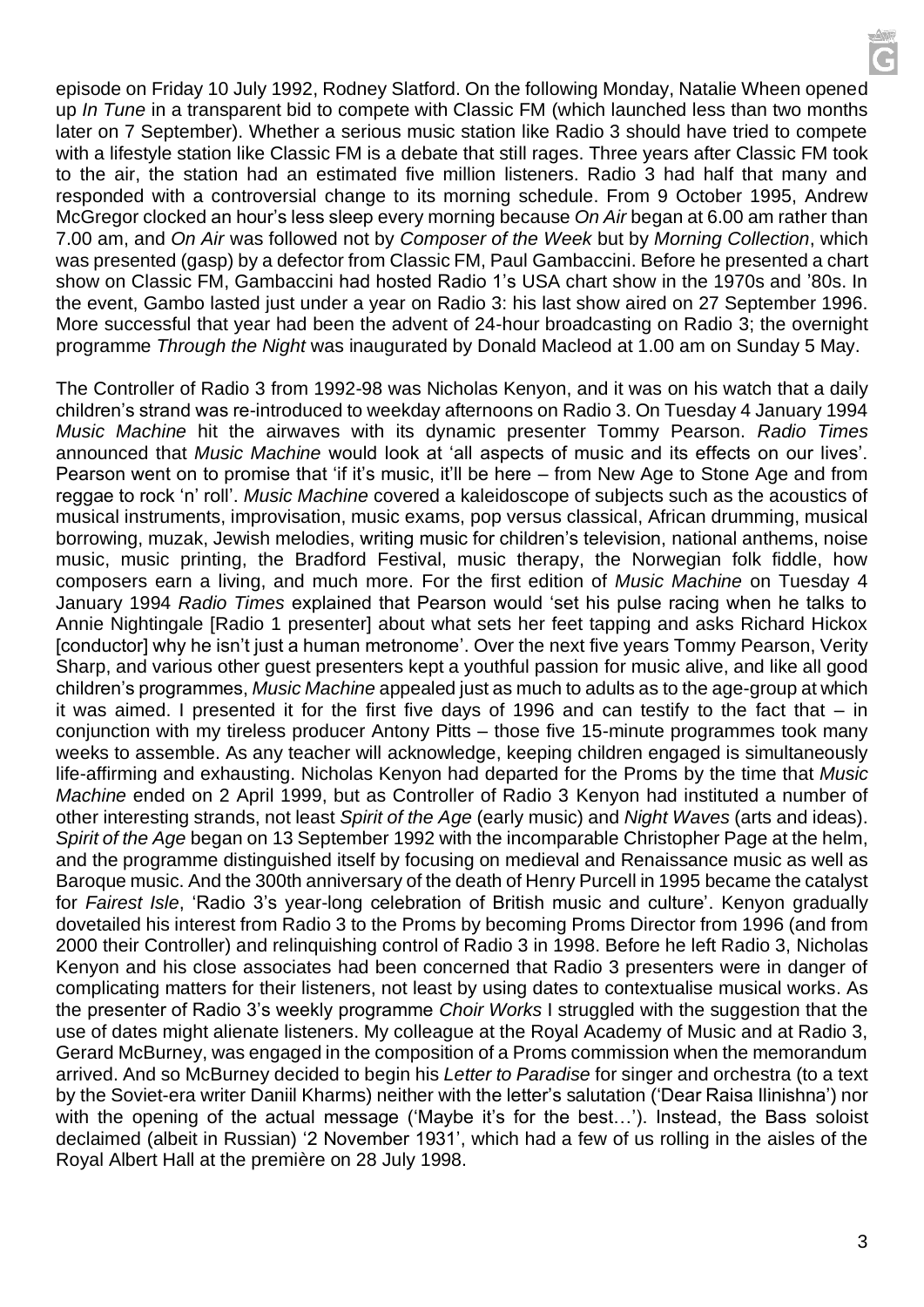episode on Friday 10 July 1992, Rodney Slatford. On the following Monday, Natalie Wheen opened up *In Tune* in a transparent bid to compete with Classic FM (which launched less than two months later on 7 September). Whether a serious music station like Radio 3 should have tried to compete with a lifestyle station like Classic FM is a debate that still rages. Three years after Classic FM took to the air, the station had an estimated five million listeners. Radio 3 had half that many and responded with a controversial change to its morning schedule. From 9 October 1995, Andrew McGregor clocked an hour's less sleep every morning because *On Air* began at 6.00 am rather than 7.00 am, and *On Air* was followed not by *Composer of the Week* but by *Morning Collection*, which was presented (gasp) by a defector from Classic FM, Paul Gambaccini. Before he presented a chart show on Classic FM, Gambaccini had hosted Radio 1's USA chart show in the 1970s and '80s. In the event, Gambo lasted just under a year on Radio 3: his last show aired on 27 September 1996. More successful that year had been the advent of 24-hour broadcasting on Radio 3; the overnight programme *Through the Night* was inaugurated by Donald Macleod at 1.00 am on Sunday 5 May.

The Controller of Radio 3 from 1992-98 was Nicholas Kenyon, and it was on his watch that a daily children's strand was re-introduced to weekday afternoons on Radio 3. On Tuesday 4 January 1994 *Music Machine* hit the airwaves with its dynamic presenter Tommy Pearson. *Radio Times* announced that *Music Machine* would look at 'all aspects of music and its effects on our lives'. Pearson went on to promise that 'if it's music, it'll be here – from New Age to Stone Age and from reggae to rock 'n' roll'. *Music Machine* covered a kaleidoscope of subjects such as the acoustics of musical instruments, improvisation, music exams, pop versus classical, African drumming, musical borrowing, muzak, Jewish melodies, writing music for children's television, national anthems, noise music, music printing, the Bradford Festival, music therapy, the Norwegian folk fiddle, how composers earn a living, and much more. For the first edition of *Music Machine* on Tuesday 4 January 1994 *Radio Times* explained that Pearson would 'set his pulse racing when he talks to Annie Nightingale [Radio 1 presenter] about what sets her feet tapping and asks Richard Hickox [conductor] why he isn't just a human metronome'. Over the next five years Tommy Pearson, Verity Sharp, and various other guest presenters kept a youthful passion for music alive, and like all good children's programmes, *Music Machine* appealed just as much to adults as to the age-group at which it was aimed. I presented it for the first five days of 1996 and can testify to the fact that – in conjunction with my tireless producer Antony Pitts – those five 15-minute programmes took many weeks to assemble. As any teacher will acknowledge, keeping children engaged is simultaneously life-affirming and exhausting. Nicholas Kenyon had departed for the Proms by the time that *Music Machine* ended on 2 April 1999, but as Controller of Radio 3 Kenyon had instituted a number of other interesting strands, not least *Spirit of the Age* (early music) and *Night Waves* (arts and ideas). *Spirit of the Age* began on 13 September 1992 with the incomparable Christopher Page at the helm, and the programme distinguished itself by focusing on medieval and Renaissance music as well as Baroque music. And the 300th anniversary of the death of Henry Purcell in 1995 became the catalyst for *Fairest Isle*, 'Radio 3's year-long celebration of British music and culture'. Kenyon gradually dovetailed his interest from Radio 3 to the Proms by becoming Proms Director from 1996 (and from 2000 their Controller) and relinquishing control of Radio 3 in 1998. Before he left Radio 3, Nicholas Kenyon and his close associates had been concerned that Radio 3 presenters were in danger of complicating matters for their listeners, not least by using dates to contextualise musical works. As the presenter of Radio 3's weekly programme *Choir Works* I struggled with the suggestion that the use of dates might alienate listeners. My colleague at the Royal Academy of Music and at Radio 3, Gerard McBurney, was engaged in the composition of a Proms commission when the memorandum arrived. And so McBurney decided to begin his *Letter to Paradise* for singer and orchestra (to a text by the Soviet-era writer Daniil Kharms) neither with the letter's salutation ('Dear Raisa Ilinishna') nor with the opening of the actual message ('Maybe it's for the best...'). Instead, the Bass soloist declaimed (albeit in Russian) '2 November 1931', which had a few of us rolling in the aisles of the Royal Albert Hall at the première on 28 July 1998.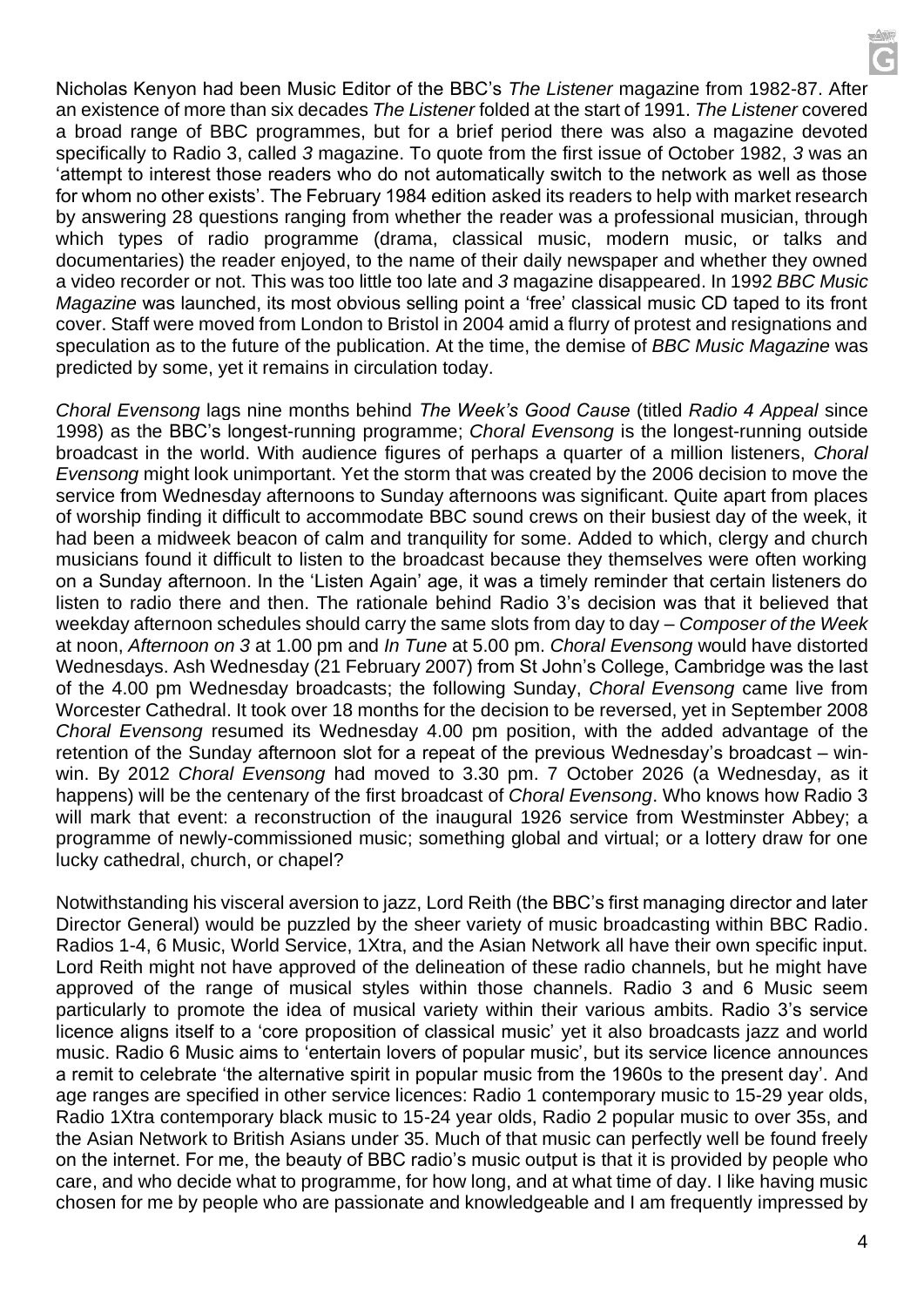Nicholas Kenyon had been Music Editor of the BBC's *The Listener* magazine from 1982-87. After an existence of more than six decades *The Listener* folded at the start of 1991. *The Listener* covered a broad range of BBC programmes, but for a brief period there was also a magazine devoted specifically to Radio 3, called *3* magazine. To quote from the first issue of October 1982, *3* was an 'attempt to interest those readers who do not automatically switch to the network as well as those for whom no other exists'. The February 1984 edition asked its readers to help with market research by answering 28 questions ranging from whether the reader was a professional musician, through which types of radio programme (drama, classical music, modern music, or talks and documentaries) the reader enjoyed, to the name of their daily newspaper and whether they owned a video recorder or not. This was too little too late and *3* magazine disappeared. In 1992 *BBC Music Magazine* was launched, its most obvious selling point a 'free' classical music CD taped to its front cover. Staff were moved from London to Bristol in 2004 amid a flurry of protest and resignations and speculation as to the future of the publication. At the time, the demise of *BBC Music Magazine* was predicted by some, yet it remains in circulation today.

*Choral Evensong* lags nine months behind *The Week's Good Cause* (titled *Radio 4 Appeal* since 1998) as the BBC's longest-running programme; *Choral Evensong* is the longest-running outside broadcast in the world. With audience figures of perhaps a quarter of a million listeners, *Choral Evensong* might look unimportant. Yet the storm that was created by the 2006 decision to move the service from Wednesday afternoons to Sunday afternoons was significant. Quite apart from places of worship finding it difficult to accommodate BBC sound crews on their busiest day of the week, it had been a midweek beacon of calm and tranquility for some. Added to which, clergy and church musicians found it difficult to listen to the broadcast because they themselves were often working on a Sunday afternoon. In the 'Listen Again' age, it was a timely reminder that certain listeners do listen to radio there and then. The rationale behind Radio 3's decision was that it believed that weekday afternoon schedules should carry the same slots from day to day – *Composer of the Week*  at noon, *Afternoon on 3* at 1.00 pm and *In Tune* at 5.00 pm. *Choral Evensong* would have distorted Wednesdays. Ash Wednesday (21 February 2007) from St John's College, Cambridge was the last of the 4.00 pm Wednesday broadcasts; the following Sunday, *Choral Evensong* came live from Worcester Cathedral. It took over 18 months for the decision to be reversed, yet in September 2008 *Choral Evensong* resumed its Wednesday 4.00 pm position, with the added advantage of the retention of the Sunday afternoon slot for a repeat of the previous Wednesday's broadcast – winwin. By 2012 *Choral Evensong* had moved to 3.30 pm. 7 October 2026 (a Wednesday, as it happens) will be the centenary of the first broadcast of *Choral Evensong*. Who knows how Radio 3 will mark that event: a reconstruction of the inaugural 1926 service from Westminster Abbey; a programme of newly-commissioned music; something global and virtual; or a lottery draw for one lucky cathedral, church, or chapel?

Notwithstanding his visceral aversion to jazz, Lord Reith (the BBC's first managing director and later Director General) would be puzzled by the sheer variety of music broadcasting within BBC Radio. Radios 1-4, 6 Music, World Service, 1Xtra, and the Asian Network all have their own specific input. Lord Reith might not have approved of the delineation of these radio channels, but he might have approved of the range of musical styles within those channels. Radio 3 and 6 Music seem particularly to promote the idea of musical variety within their various ambits. Radio 3's service licence aligns itself to a 'core proposition of classical music' yet it also broadcasts jazz and world music. Radio 6 Music aims to 'entertain lovers of popular music', but its service licence announces a remit to celebrate 'the alternative spirit in popular music from the 1960s to the present day'. And age ranges are specified in other service licences: Radio 1 contemporary music to 15-29 year olds, Radio 1Xtra contemporary black music to 15-24 year olds, Radio 2 popular music to over 35s, and the Asian Network to British Asians under 35. Much of that music can perfectly well be found freely on the internet. For me, the beauty of BBC radio's music output is that it is provided by people who care, and who decide what to programme, for how long, and at what time of day. I like having music chosen for me by people who are passionate and knowledgeable and I am frequently impressed by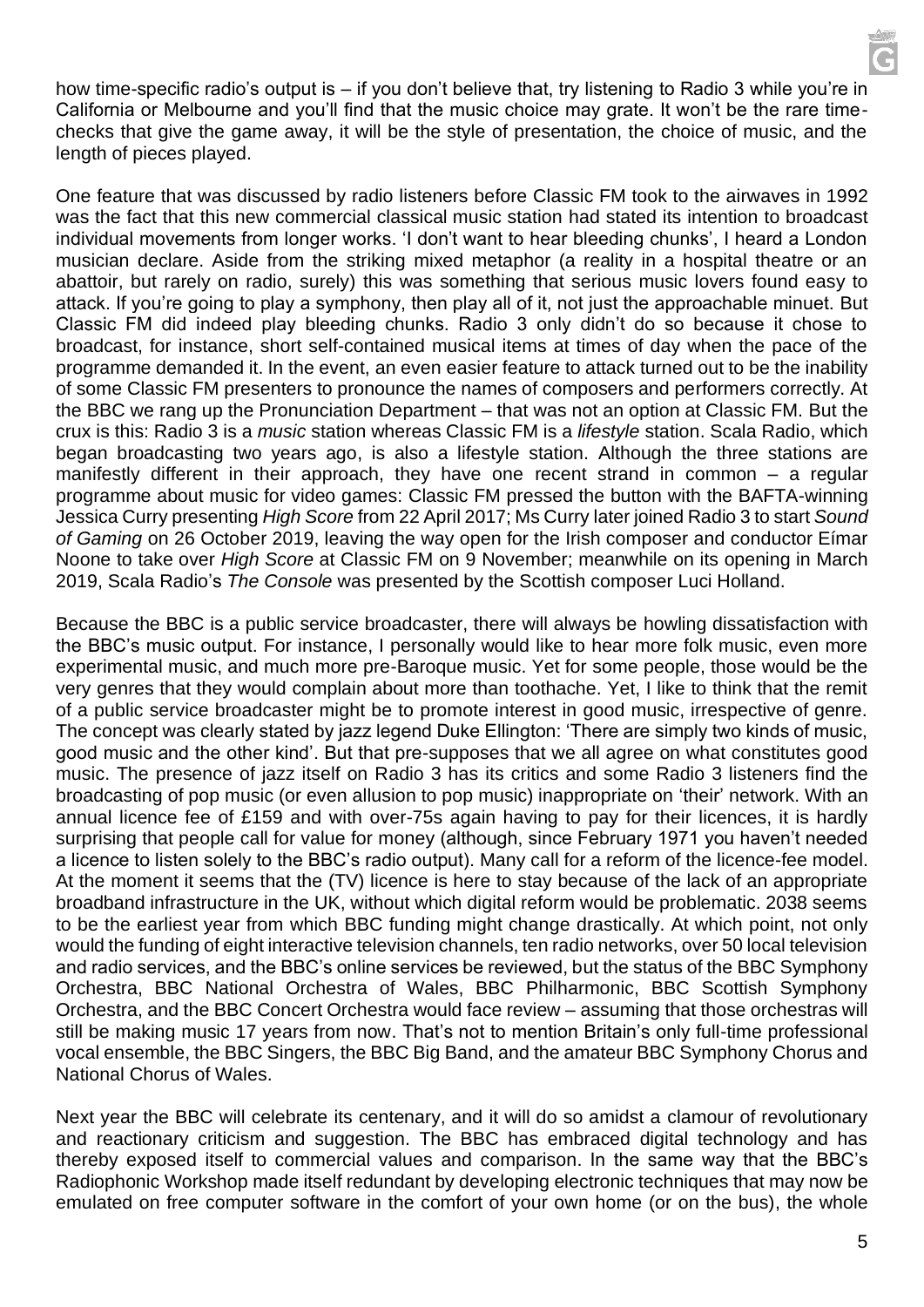how time-specific radio's output is – if you don't believe that, try listening to Radio 3 while you're in California or Melbourne and you'll find that the music choice may grate. It won't be the rare timechecks that give the game away, it will be the style of presentation, the choice of music, and the length of pieces played.

One feature that was discussed by radio listeners before Classic FM took to the airwaves in 1992 was the fact that this new commercial classical music station had stated its intention to broadcast individual movements from longer works. 'I don't want to hear bleeding chunks', I heard a London musician declare. Aside from the striking mixed metaphor (a reality in a hospital theatre or an abattoir, but rarely on radio, surely) this was something that serious music lovers found easy to attack. If you're going to play a symphony, then play all of it, not just the approachable minuet. But Classic FM did indeed play bleeding chunks. Radio 3 only didn't do so because it chose to broadcast, for instance, short self-contained musical items at times of day when the pace of the programme demanded it. In the event, an even easier feature to attack turned out to be the inability of some Classic FM presenters to pronounce the names of composers and performers correctly. At the BBC we rang up the Pronunciation Department – that was not an option at Classic FM. But the crux is this: Radio 3 is a *music* station whereas Classic FM is a *lifestyle* station. Scala Radio, which began broadcasting two years ago, is also a lifestyle station. Although the three stations are manifestly different in their approach, they have one recent strand in common – a regular programme about music for video games: Classic FM pressed the button with the BAFTA-winning Jessica Curry presenting *High Score* from 22 April 2017; Ms Curry later joined Radio 3 to start *Sound of Gaming* on 26 October 2019, leaving the way open for the Irish composer and conductor Eímar Noone to take over *High Score* at Classic FM on 9 November; meanwhile on its opening in March 2019, Scala Radio's *The Console* was presented by the Scottish composer Luci Holland.

Because the BBC is a public service broadcaster, there will always be howling dissatisfaction with the BBC's music output. For instance, I personally would like to hear more folk music, even more experimental music, and much more pre-Baroque music. Yet for some people, those would be the very genres that they would complain about more than toothache. Yet, I like to think that the remit of a public service broadcaster might be to promote interest in good music, irrespective of genre. The concept was clearly stated by jazz legend Duke Ellington: 'There are simply two kinds of music, good music and the other kind'. But that pre-supposes that we all agree on what constitutes good music. The presence of jazz itself on Radio 3 has its critics and some Radio 3 listeners find the broadcasting of pop music (or even allusion to pop music) inappropriate on 'their' network. With an annual licence fee of £159 and with over-75s again having to pay for their licences, it is hardly surprising that people call for value for money (although, since February 1971 you haven't needed a licence to listen solely to the BBC's radio output). Many call for a reform of the licence-fee model. At the moment it seems that the (TV) licence is here to stay because of the lack of an appropriate broadband infrastructure in the UK, without which digital reform would be problematic. 2038 seems to be the earliest year from which BBC funding might change drastically. At which point, not only would the funding of eight interactive television channels, ten radio networks, over 50 local television and radio services, and the BBC's online services be reviewed, but the status of the BBC Symphony Orchestra, BBC National Orchestra of Wales, BBC Philharmonic, BBC Scottish Symphony Orchestra, and the BBC Concert Orchestra would face review – assuming that those orchestras will still be making music 17 years from now. That's not to mention Britain's only full-time professional vocal ensemble, the BBC Singers, the BBC Big Band, and the amateur BBC Symphony Chorus and National Chorus of Wales.

Next year the BBC will celebrate its centenary, and it will do so amidst a clamour of revolutionary and reactionary criticism and suggestion. The BBC has embraced digital technology and has thereby exposed itself to commercial values and comparison. In the same way that the BBC's Radiophonic Workshop made itself redundant by developing electronic techniques that may now be emulated on free computer software in the comfort of your own home (or on the bus), the whole